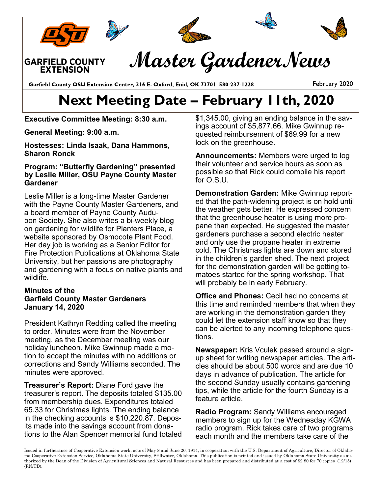

## **Next Meeting Date – February 11th, 2020**

**Executive Committee Meeting: 8:30 a.m.** 

**General Meeting: 9:00 a.m.** 

**Hostesses: Linda Isaak, Dana Hammons, Sharon Ronck**

## **Program: "Butterfly Gardening" presented by Leslie Miller, OSU Payne County Master Gardener**

Leslie Miller is a long-time Master Gardener with the Payne County Master Gardeners, and a board member of Payne County Audubon Society. She also writes a bi-weekly blog on gardening for wildlife for Planters Place, a website sponsored by Osmocote Plant Food. Her day job is working as a Senior Editor for Fire Protection Publications at Oklahoma State University, but her passions are photography and gardening with a focus on native plants and wildlife.

## **Minutes of the Garfield County Master Gardeners January 14, 2020**

President Kathryn Redding called the meeting to order. Minutes were from the November meeting, as the December meeting was our holiday luncheon. Mike Gwinnup made a motion to accept the minutes with no additions or corrections and Sandy Williams seconded. The minutes were approved.

**Treasurer's Report:** Diane Ford gave the treasurer's report. The deposits totaled \$135.00 from membership dues. Expenditures totaled 65.33 for Christmas lights. The ending balance in the checking accounts is \$10,220.87. Deposits made into the savings account from donations to the Alan Spencer memorial fund totaled \$1,345.00, giving an ending balance in the savings account of \$5,877.66. Mike Gwinnup requested reimbursement of \$69.99 for a new lock on the greenhouse.

**Announcements:** Members were urged to log their volunteer and service hours as soon as possible so that Rick could compile his report for O.S.U.

**Demonstration Garden:** Mike Gwinnup reported that the path-widening project is on hold until the weather gets better. He expressed concern that the greenhouse heater is using more propane than expected. He suggested the master gardeners purchase a second electric heater and only use the propane heater in extreme cold. The Christmas lights are down and stored in the children's garden shed. The next project for the demonstration garden will be getting tomatoes started for the spring workshop. That will probably be in early February.

**Office and Phones:** Cecil had no concerns at this time and reminded members that when they are working in the demonstration garden they could let the extension staff know so that they can be alerted to any incoming telephone questions.

**Newspaper:** Kris Vculek passed around a signup sheet for writing newspaper articles. The articles should be about 500 words and are due 10 days in advance of publication. The article for the second Sunday usually contains gardening tips, while the article for the fourth Sunday is a feature article.

**Radio Program:** Sandy Williams encouraged members to sign up for the Wednesday KGWA radio program. Rick takes care of two programs each month and the members take care of the

Issued in furtherance of Cooperative Extension work, acts of May 8 and June 20, 1914, in cooperation with the U.S. Department of Agriculture, Director of Oklahoma Cooperative Extension Service, Oklahoma State University, Stillwater, Oklahoma. This publication is printed and issued by Oklahoma State University as authorized by the Dean of the Division of Agricultural Sciences and Natural Resources and has been prepared and distributed at a cost of \$2.80 for 70 copies (12/15) (RN/TD).